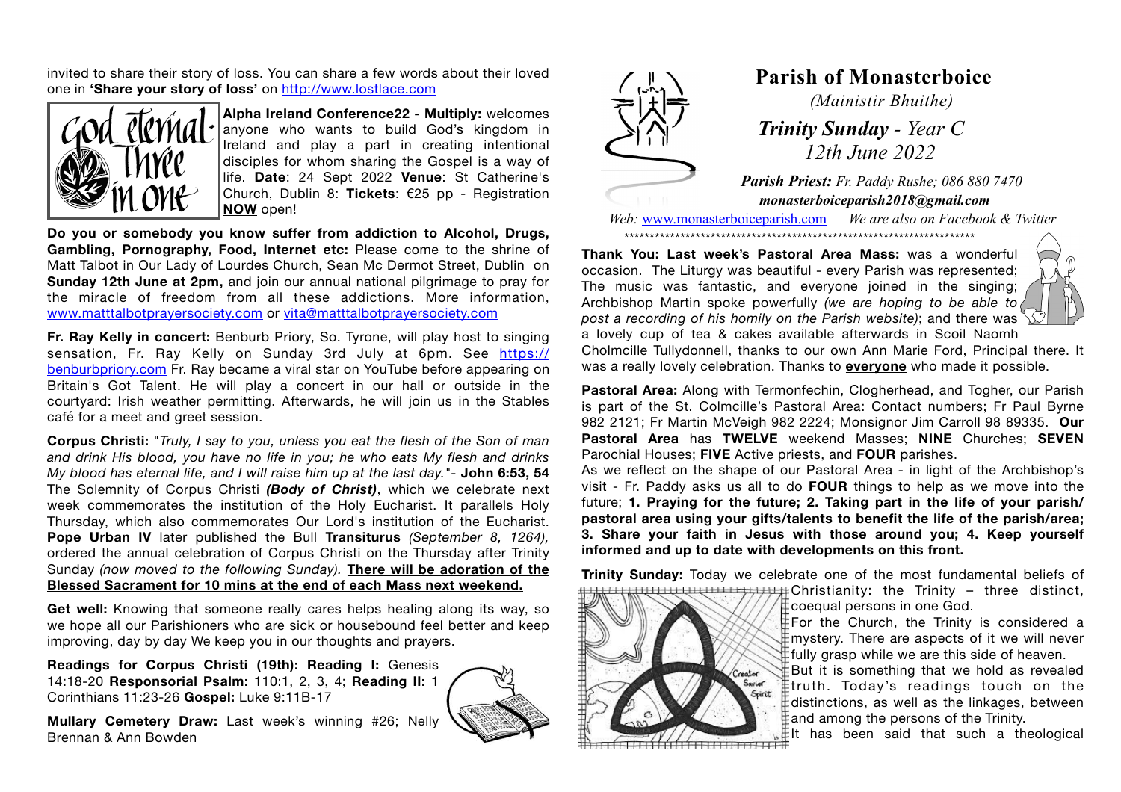invited to share their story of loss. You can share a few words about their loved one in **'Share your story of loss'** on <http://www.lostlace.com>



**Alpha Ireland Conference22 - Multiply:** welcomes anyone who wants to build God's kingdom in Ireland and play a part in creating intentional disciples for whom sharing the Gospel is a way of life. **Date**: 24 Sept 2022 **Venue**: St Catherine's Church, Dublin 8: **Tickets**: €25 pp - Registration **NOW** open!

**Do you or somebody you know suffer from addiction to Alcohol, Drugs, Gambling, Pornography, Food, Internet etc:** Please come to the shrine of Matt Talbot in Our Lady of Lourdes Church, Sean Mc Dermot Street, Dublin on **Sunday 12th June at 2pm,** and join our annual national pilgrimage to pray for the miracle of freedom from all these addictions. More information, [www.matttalbotprayersociety.com](http://www.matttalbotprayersociety.com) or [vita@matttalbotprayersociety.com](mailto:vita@matttalbotprayersociety.com)

**Fr. Ray Kelly in concert:** Benburb Priory, So. Tyrone, will play host to singing sensation, Fr. Ray Kelly on Sunday 3rd July at 6pm. See [https://](https://benburbpriory.com) [benburbpriory.com](https://benburbpriory.com) Fr. Ray became a viral star on YouTube before appearing on Britain's Got Talent. He will play a concert in our hall or outside in the courtyard: Irish weather permitting. Afterwards, he will join us in the Stables café for a meet and greet session.

**Corpus Christi:** "*Truly, I say to you, unless you eat the flesh of the Son of man and drink His blood, you have no life in you; he who eats My flesh and drinks My blood has eternal life, and I will raise him up at the last day."-* **John 6:53, 54** The Solemnity of Corpus Christi *(Body of Christ)*, which we celebrate next week commemorates the institution of the Holy Eucharist. It parallels Holy Thursday, which also commemorates Our Lord's institution of the Eucharist. **Pope Urban IV** later published the Bull **Transiturus** *(September 8, 1264),*  ordered the annual celebration of Corpus Christi on the Thursday after Trinity Sunday *(now moved to the following Sunday).* **There will be adoration of the Blessed Sacrament for 10 mins at the end of each Mass next weekend.**

**Get well:** Knowing that someone really cares helps healing along its way, so we hope all our Parishioners who are sick or housebound feel better and keep improving, day by day We keep you in our thoughts and prayers.

**Readings for Corpus Christi (19th): Reading I:** Genesis 14:18-20 **Responsorial Psalm:** 110:1, 2, 3, 4; **Reading II:** 1 Corinthians 11:23-26 **Gospel:** Luke 9:11B-17

**Mullary Cemetery Draw:** Last week's winning #26; Nelly Brennan & Ann Bowden





## **Parish of Monasterboice**

*(Mainistir Bhuithe)*

 *Trinity Sunday - Year C 12th June 2022*

*Parish Priest: Fr. Paddy Rushe; 086 880 7470 monasterboiceparish2018@gmail.com* 

*Web:* [www.monasterboiceparish.com](http://www.monasterboiceparish.com) *We are also on Facebook & Twitter* \*\*\*\*\*\*\*\*\*\*\*\*\*\*\*\*\*\*\*\*\*\*\*\*\*\*\*\*\*\*\*\*\*\*\*\*\*\*\*\*\*\*\*\*\*\*\*\*\*\*\*\*\*\*\*\*\*\*\*\*\*\*\*\*\*\*\*\*\*

**Thank You: Last week's Pastoral Area Mass:** was a wonderful occasion. The Liturgy was beautiful - every Parish was represented; The music was fantastic, and everyone joined in the singing; Archbishop Martin spoke powerfully *(we are hoping to be able to post a recording of his homily on the Parish website)*; and there was



a lovely cup of tea & cakes available afterwards in Scoil Naomh Cholmcille Tullydonnell, thanks to our own Ann Marie Ford, Principal there. It was a really lovely celebration. Thanks to **everyone** who made it possible.

**Pastoral Area:** Along with Termonfechin, Clogherhead, and Togher, our Parish is part of the St. Colmcille's Pastoral Area: Contact numbers; Fr Paul Byrne 982 2121; Fr Martin McVeigh 982 2224; Monsignor Jim Carroll 98 89335. **Our Pastoral Area** has **TWELVE** weekend Masses; **NINE** Churches; **SEVEN** Parochial Houses; **FIVE** Active priests, and **FOUR** parishes.

As we reflect on the shape of our Pastoral Area - in light of the Archbishop's visit - Fr. Paddy asks us all to do **FOUR** things to help as we move into the future; **1. Praying for the future; 2. Taking part in the life of your parish/ pastoral area using your gifts/talents to benefit the life of the parish/area; 3. Share your faith in Jesus with those around you; 4. Keep yourself informed and up to date with developments on this front.** 

**Trinity Sunday:** Today we celebrate one of the most fundamental beliefs of Christianity: the Trinity – three distinct,

Savior

coequal persons in one God.

For the Church, the Trinity is considered a mystery. There are aspects of it we will never  $\frac{1}{2}$ fully grasp while we are this side of heaven.

But it is something that we hold as revealed truth. Today's readings touch on the  $\mathbb F$ distinctions, as well as the linkages, between  $\frac{1}{2}$  and among the persons of the Trinity.

It has been said that such a theological